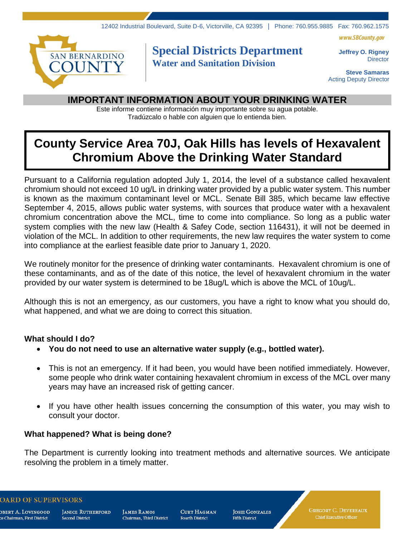



## **Special Districts Department Water and Sanitation Division**

**Jeffrey O. Rigney Director** 

**Steve Samaras** Acting Deputy Director

### **IMPORTANT INFORMATION ABOUT YOUR DRINKING WATER**

Este informe contiene información muy importante sobre su agua potable. Tradúzcalo o hable con alguien que lo entienda bien.

# **County Service Area 70J, Oak Hills has levels of Hexavalent Chromium Above the Drinking Water Standard**

Pursuant to a California regulation adopted July 1, 2014, the level of a substance called hexavalent chromium should not exceed 10 ug/L in drinking water provided by a public water system. This number is known as the maximum contaminant level or MCL. Senate Bill 385, which became law effective September 4, 2015, allows public water systems, with sources that produce water with a hexavalent chromium concentration above the MCL, time to come into compliance. So long as a public water system complies with the new law (Health & Safey Code, section 116431), it will not be deemed in violation of the MCL. In addition to other requirements, the new law requires the water system to come into compliance at the earliest feasible date prior to January 1, 2020.

We routinely monitor for the presence of drinking water contaminants. Hexavalent chromium is one of these contaminants, and as of the date of this notice, the level of hexavalent chromium in the water provided by our water system is determined to be 18ug/L which is above the MCL of 10ug/L.

Although this is not an emergency, as our customers, you have a right to know what you should do, what happened, and what we are doing to correct this situation.

#### **What should I do?**

- **You do not need to use an alternative water supply (e.g., bottled water).**
- This is not an emergency. If it had been, you would have been notified immediately. However, some people who drink water containing hexavalent chromium in excess of the MCL over many years may have an increased risk of getting cancer.
- If you have other health issues concerning the consumption of this water, you may wish to consult your doctor.

#### **What happened? What is being done?**

The Department is currently looking into treatment methods and alternative sources. We anticipate resolving the problem in a timely matter.

**ARD OF SUPERVISORS** 

dbert A. Lovingood ce Chairman, First District

**JANICE RUTHERFORD Second District** 

**JAMES RAMOS** Chairman. Third District

**CURT HAGMAN Fourth District** 

**JOSIE GONZALES Fifth District** 

**GREGORY C. DEVEREAUX** Chief Executive Officer